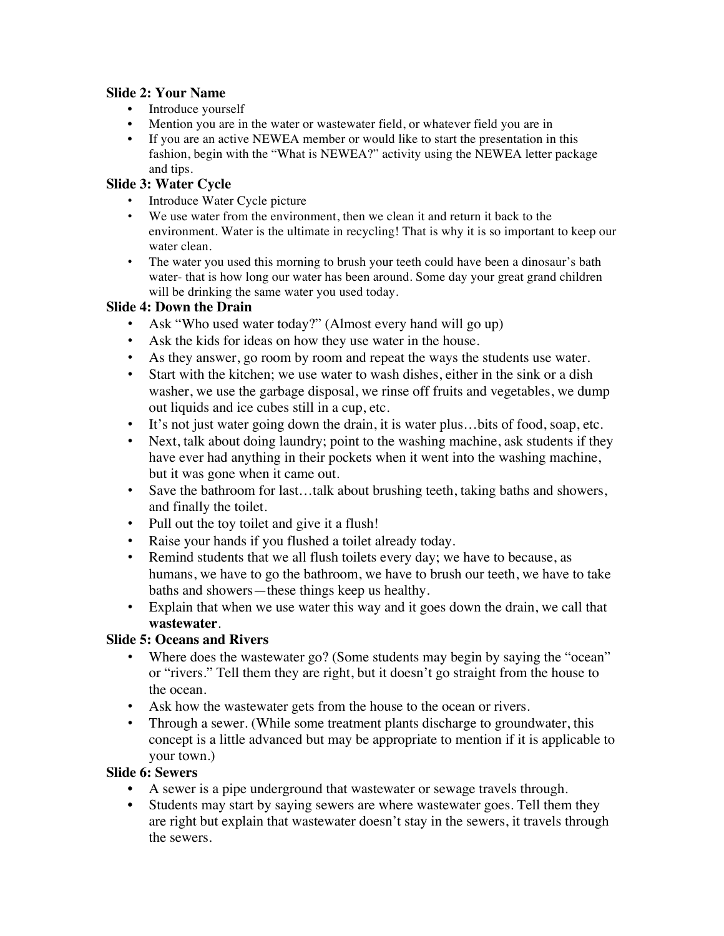#### **Slide 2: Your Name**

- Introduce yourself
- Mention you are in the water or wastewater field, or whatever field you are in
- If you are an active NEWEA member or would like to start the presentation in this fashion, begin with the "What is NEWEA?" activity using the NEWEA letter package and tips.

#### **Slide 3: Water Cycle**

- Introduce Water Cycle picture
- We use water from the environment, then we clean it and return it back to the environment. Water is the ultimate in recycling! That is why it is so important to keep our water clean.
- The water you used this morning to brush your teeth could have been a dinosaur's bath water- that is how long our water has been around. Some day your great grand children will be drinking the same water you used today.

#### **Slide 4: Down the Drain**

- Ask "Who used water today?" (Almost every hand will go up)
- Ask the kids for ideas on how they use water in the house.
- As they answer, go room by room and repeat the ways the students use water.
- Start with the kitchen; we use water to wash dishes, either in the sink or a dish washer, we use the garbage disposal, we rinse off fruits and vegetables, we dump out liquids and ice cubes still in a cup, etc.
- It's not just water going down the drain, it is water plus…bits of food, soap, etc.
- Next, talk about doing laundry; point to the washing machine, ask students if they have ever had anything in their pockets when it went into the washing machine, but it was gone when it came out.
- Save the bathroom for last...talk about brushing teeth, taking baths and showers, and finally the toilet.
- Pull out the toy toilet and give it a flush!
- Raise your hands if you flushed a toilet already today.
- Remind students that we all flush toilets every day; we have to because, as humans, we have to go the bathroom, we have to brush our teeth, we have to take baths and showers—these things keep us healthy.
- Explain that when we use water this way and it goes down the drain, we call that **wastewater**.

#### **Slide 5: Oceans and Rivers**

- Where does the wastewater go? (Some students may begin by saying the "ocean" or "rivers." Tell them they are right, but it doesn't go straight from the house to the ocean.
- Ask how the wastewater gets from the house to the ocean or rivers.
- Through a sewer. (While some treatment plants discharge to groundwater, this concept is a little advanced but may be appropriate to mention if it is applicable to your town.)

#### **Slide 6: Sewers**

- A sewer is a pipe underground that wastewater or sewage travels through.
- Students may start by saying sewers are where wastewater goes. Tell them they are right but explain that wastewater doesn't stay in the sewers, it travels through the sewers.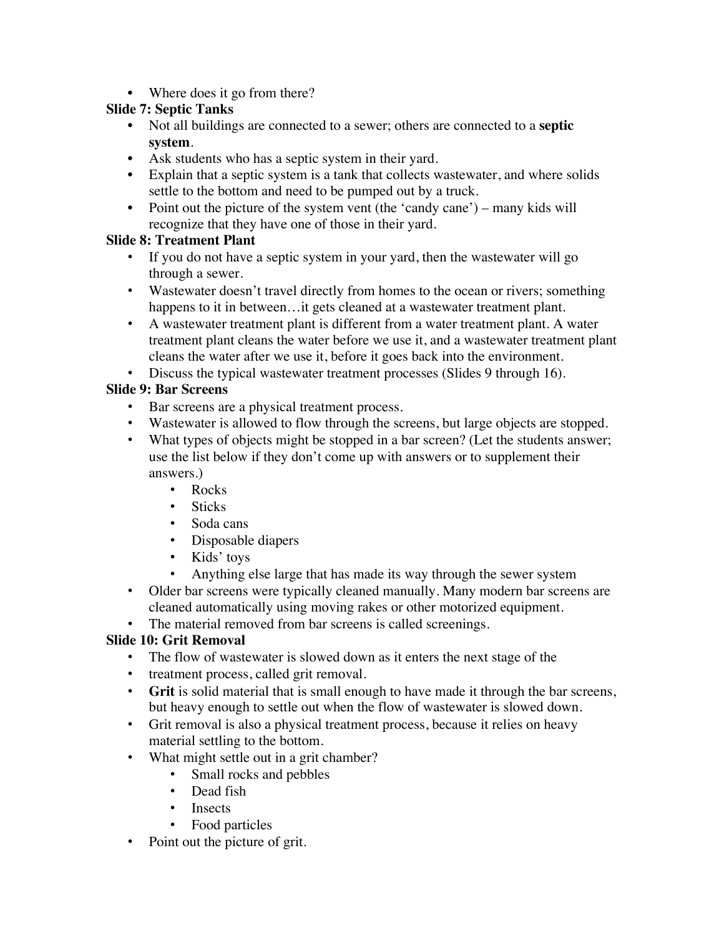• Where does it go from there?

### **Slide 7: Septic Tanks**

- Not all buildings are connected to a sewer; others are connected to a **septic system**.
- Ask students who has a septic system in their yard.
- Explain that a septic system is a tank that collects wastewater, and where solids settle to the bottom and need to be pumped out by a truck.
- Point out the picture of the system vent (the 'candy cane') many kids will recognize that they have one of those in their yard.

## **Slide 8: Treatment Plant**

- If you do not have a septic system in your yard, then the wastewater will go through a sewer.
- Wastewater doesn't travel directly from homes to the ocean or rivers; something happens to it in between...it gets cleaned at a wastewater treatment plant.
- A wastewater treatment plant is different from a water treatment plant. A water treatment plant cleans the water before we use it, and a wastewater treatment plant cleans the water after we use it, before it goes back into the environment.
- Discuss the typical wastewater treatment processes (Slides 9 through 16).

# **Slide 9: Bar Screens**

- Bar screens are a physical treatment process.
- Wastewater is allowed to flow through the screens, but large objects are stopped.
- What types of objects might be stopped in a bar screen? (Let the students answer; use the list below if they don't come up with answers or to supplement their answers.)
	- Rocks
	- Sticks
	- Soda cans
	- Disposable diapers
	- Kids' toys
	- Anything else large that has made its way through the sewer system
- Older bar screens were typically cleaned manually. Many modern bar screens are cleaned automatically using moving rakes or other motorized equipment.
- The material removed from bar screens is called screenings.

# **Slide 10: Grit Removal**

- The flow of wastewater is slowed down as it enters the next stage of the
- treatment process, called grit removal.
- **Grit** is solid material that is small enough to have made it through the bar screens, but heavy enough to settle out when the flow of wastewater is slowed down.
- Grit removal is also a physical treatment process, because it relies on heavy material settling to the bottom.
- What might settle out in a grit chamber?
	- Small rocks and pebbles
	- Dead fish
	- Insects
	- Food particles
- Point out the picture of grit.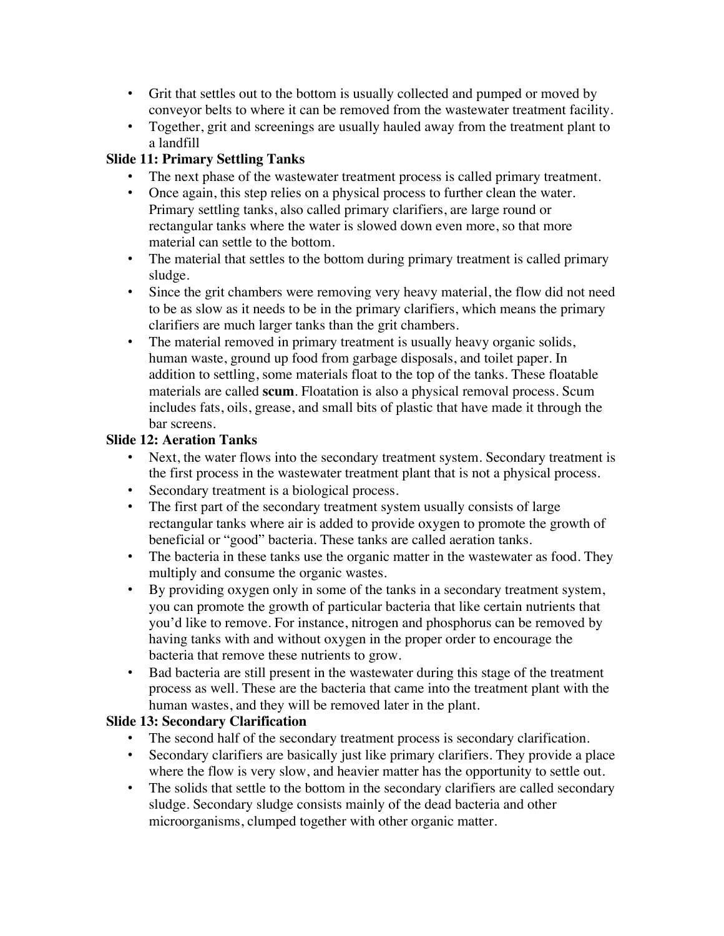- Grit that settles out to the bottom is usually collected and pumped or moved by conveyor belts to where it can be removed from the wastewater treatment facility.
- Together, grit and screenings are usually hauled away from the treatment plant to a landfill

# **Slide 11: Primary Settling Tanks**

- The next phase of the wastewater treatment process is called primary treatment.
- Once again, this step relies on a physical process to further clean the water. Primary settling tanks, also called primary clarifiers, are large round or rectangular tanks where the water is slowed down even more, so that more material can settle to the bottom.
- The material that settles to the bottom during primary treatment is called primary sludge.
- Since the grit chambers were removing very heavy material, the flow did not need to be as slow as it needs to be in the primary clarifiers, which means the primary clarifiers are much larger tanks than the grit chambers.
- The material removed in primary treatment is usually heavy organic solids, human waste, ground up food from garbage disposals, and toilet paper. In addition to settling, some materials float to the top of the tanks. These floatable materials are called **scum**. Floatation is also a physical removal process. Scum includes fats, oils, grease, and small bits of plastic that have made it through the bar screens.

## **Slide 12: Aeration Tanks**

- Next, the water flows into the secondary treatment system. Secondary treatment is the first process in the wastewater treatment plant that is not a physical process.
- Secondary treatment is a biological process.
- The first part of the secondary treatment system usually consists of large rectangular tanks where air is added to provide oxygen to promote the growth of beneficial or "good" bacteria. These tanks are called aeration tanks.
- The bacteria in these tanks use the organic matter in the wastewater as food. They multiply and consume the organic wastes.
- By providing oxygen only in some of the tanks in a secondary treatment system, you can promote the growth of particular bacteria that like certain nutrients that you'd like to remove. For instance, nitrogen and phosphorus can be removed by having tanks with and without oxygen in the proper order to encourage the bacteria that remove these nutrients to grow.
- Bad bacteria are still present in the wastewater during this stage of the treatment process as well. These are the bacteria that came into the treatment plant with the human wastes, and they will be removed later in the plant.

# **Slide 13: Secondary Clarification**

- The second half of the secondary treatment process is secondary clarification.
- Secondary clarifiers are basically just like primary clarifiers. They provide a place where the flow is very slow, and heavier matter has the opportunity to settle out.
- The solids that settle to the bottom in the secondary clarifiers are called secondary sludge. Secondary sludge consists mainly of the dead bacteria and other microorganisms, clumped together with other organic matter.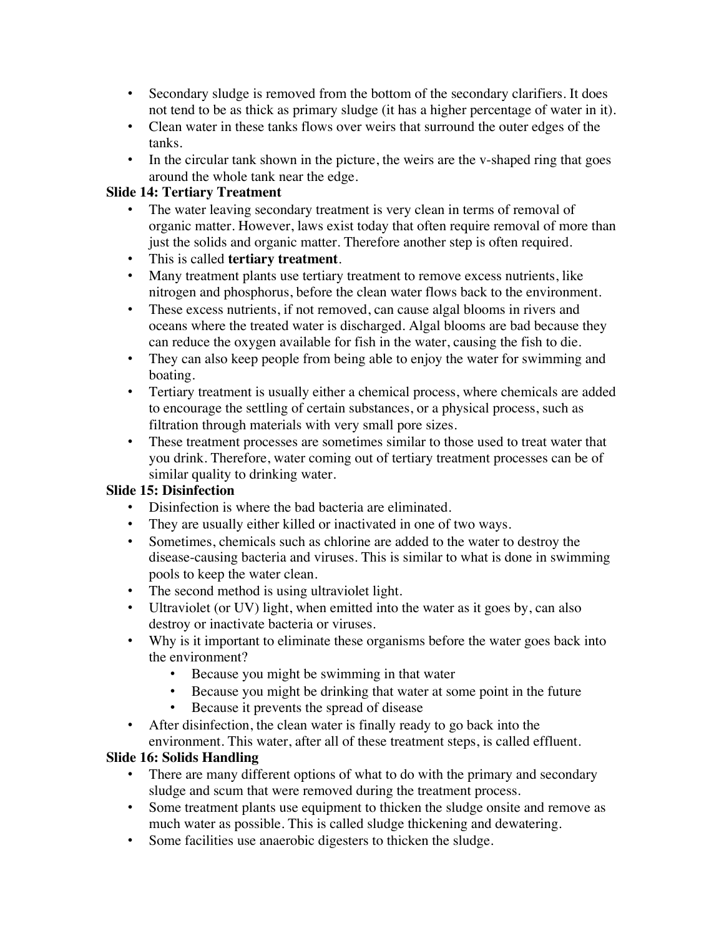- Secondary sludge is removed from the bottom of the secondary clarifiers. It does not tend to be as thick as primary sludge (it has a higher percentage of water in it).
- Clean water in these tanks flows over weirs that surround the outer edges of the tanks.
- In the circular tank shown in the picture, the weirs are the v-shaped ring that goes around the whole tank near the edge.

### **Slide 14: Tertiary Treatment**

- The water leaving secondary treatment is very clean in terms of removal of organic matter. However, laws exist today that often require removal of more than just the solids and organic matter. Therefore another step is often required.
- This is called **tertiary treatment**.
- Many treatment plants use tertiary treatment to remove excess nutrients, like nitrogen and phosphorus, before the clean water flows back to the environment.
- These excess nutrients, if not removed, can cause algal blooms in rivers and oceans where the treated water is discharged. Algal blooms are bad because they can reduce the oxygen available for fish in the water, causing the fish to die.
- They can also keep people from being able to enjoy the water for swimming and boating.
- Tertiary treatment is usually either a chemical process, where chemicals are added to encourage the settling of certain substances, or a physical process, such as filtration through materials with very small pore sizes.
- These treatment processes are sometimes similar to those used to treat water that you drink. Therefore, water coming out of tertiary treatment processes can be of similar quality to drinking water.

## **Slide 15: Disinfection**

- Disinfection is where the bad bacteria are eliminated.
- They are usually either killed or inactivated in one of two ways.
- Sometimes, chemicals such as chlorine are added to the water to destroy the disease-causing bacteria and viruses. This is similar to what is done in swimming pools to keep the water clean.
- The second method is using ultraviolet light.
- Ultraviolet (or UV) light, when emitted into the water as it goes by, can also destroy or inactivate bacteria or viruses.
- Why is it important to eliminate these organisms before the water goes back into the environment?
	- Because you might be swimming in that water
	- Because you might be drinking that water at some point in the future
	- Because it prevents the spread of disease
- After disinfection, the clean water is finally ready to go back into the environment. This water, after all of these treatment steps, is called effluent.

# **Slide 16: Solids Handling**

- There are many different options of what to do with the primary and secondary sludge and scum that were removed during the treatment process.
- Some treatment plants use equipment to thicken the sludge onsite and remove as much water as possible. This is called sludge thickening and dewatering.
- Some facilities use anaerobic digesters to thicken the sludge.